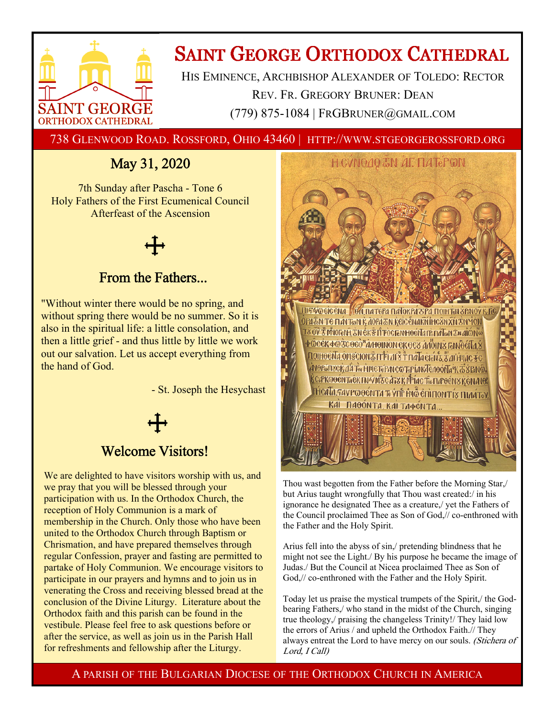

# **SAINT GEORGE ORTHODOX CATHEDRAL**

HIS EMINENCE, ARCHBISHOP ALEXANDER OF TOLEDO: RECTOR REV. FR. GREGORY BRUNER: DEAN (779) 875-1084 | FRGBRUNER@GMAIL.COM

738 GLENWOOD ROAD. ROSSFORD, OHIO 43460 | HTTP://WWW.STGEORGEROSSFORD.ORG

## May 31, 2020

7th Sunday after Pascha - Tone 6 Holy Fathers of the First Ecumenical Council Afterfeast of the Ascension

## From the Fathers...

"Without winter there would be no spring, and without spring there would be no summer. So it is also in the spiritual life: a little consolation, and then a little grief - and thus little by little we work out our salvation. Let us accept everything from the hand of God.

- St. Joseph the Hesychast

## Welcome Visitors!

We are delighted to have visitors worship with us, and we pray that you will be blessed through your participation with us. In the Orthodox Church, the reception of Holy Communion is a mark of membership in the Church. Only those who have been united to the Orthodox Church through Baptism or Chrismation, and have prepared themselves through regular Confession, prayer and fasting are permitted to partake of Holy Communion. We encourage visitors to participate in our prayers and hymns and to join us in venerating the Cross and receiving blessed bread at the conclusion of the Divine Liturgy. Literature about the Orthodox faith and this parish can be found in the vestibule. Please feel free to ask questions before or after the service, as well as join us in the Parish Hall for refreshments and fellowship after the Liturgy.



Thou wast begotten from the Father before the Morning Star,/ but Arius taught wrongfully that Thou wast created:/ in his ignorance he designated Thee as a creature,/ yet the Fathers of the Council proclaimed Thee as Son of God,// co-enthroned with the Father and the Holy Spirit.

Arius fell into the abyss of sin,/ pretending blindness that he might not see the Light./ By his purpose he became the image of Judas./ But the Council at Nicea proclaimed Thee as Son of God,// co-enthroned with the Father and the Holy Spirit.

Today let us praise the mystical trumpets of the Spirit,/ the Godbearing Fathers,/ who stand in the midst of the Church, singing true theology,/ praising the changeless Trinity!/ They laid low the errors of Arius / and upheld the Orthodox Faith.// They always entreat the Lord to have mercy on our souls. (Stichera of Lord, I Call)

A PARISH OF THE BULGARIAN DIOCESE OF THE ORTHODOX CHURCH IN AMERICA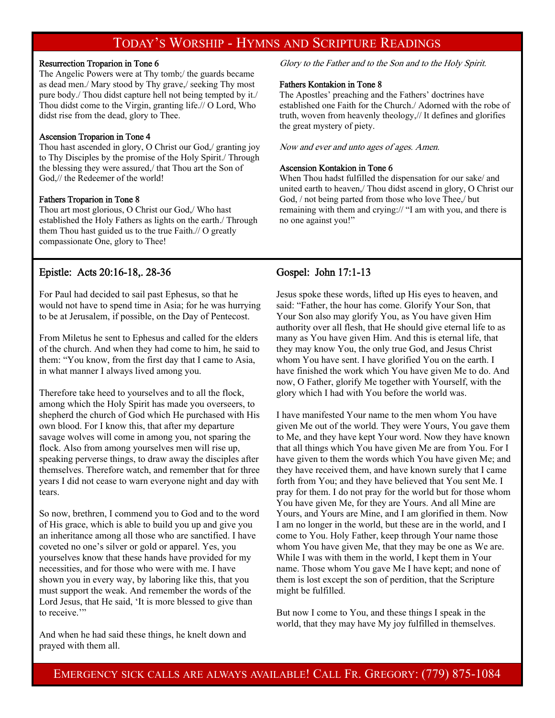## TODAY'S WORSHIP - HYMNS AND SCRIPTURE READINGS

#### Resurrection Troparion in Tone 6

The Angelic Powers were at Thy tomb;/ the guards became as dead men./ Mary stood by Thy grave,/ seeking Thy most pure body./ Thou didst capture hell not being tempted by it./ Thou didst come to the Virgin, granting life.// O Lord, Who didst rise from the dead, glory to Thee.

#### Ascension Troparion in Tone 4

Thou hast ascended in glory, O Christ our God,/ granting joy to Thy Disciples by the promise of the Holy Spirit./ Through the blessing they were assured,/ that Thou art the Son of God,// the Redeemer of the world!

#### Fathers Troparion in Tone 8

Thou art most glorious, O Christ our God,/ Who hast established the Holy Fathers as lights on the earth./ Through them Thou hast guided us to the true Faith.// O greatly compassionate One, glory to Thee!

#### Epistle: Acts 20:16-18,. 28-36

For Paul had decided to sail past Ephesus, so that he would not have to spend time in Asia; for he was hurrying to be at Jerusalem, if possible, on the Day of Pentecost.

From Miletus he sent to Ephesus and called for the elders of the church. And when they had come to him, he said to them: "You know, from the first day that I came to Asia, in what manner I always lived among you.

Therefore take heed to yourselves and to all the flock, among which the Holy Spirit has made you overseers, to shepherd the church of God which He purchased with His own blood. For I know this, that after my departure savage wolves will come in among you, not sparing the flock. Also from among yourselves men will rise up, speaking perverse things, to draw away the disciples after themselves. Therefore watch, and remember that for three years I did not cease to warn everyone night and day with tears.

So now, brethren, I commend you to God and to the word of His grace, which is able to build you up and give you an inheritance among all those who are sanctified. I have coveted no one's silver or gold or apparel. Yes, you yourselves know that these hands have provided for my necessities, and for those who were with me. I have shown you in every way, by laboring like this, that you must support the weak. And remember the words of the Lord Jesus, that He said, 'It is more blessed to give than to receive."

And when he had said these things, he knelt down and prayed with them all.

Glory to the Father and to the Son and to the Holy Spirit.

#### Fathers Kontakion in Tone 8

The Apostles' preaching and the Fathers' doctrines have established one Faith for the Church./ Adorned with the robe of truth, woven from heavenly theology,// It defines and glorifies the great mystery of piety.

Now and ever and unto ages of ages. Amen.

#### Ascension Kontakion in Tone 6

When Thou hadst fulfilled the dispensation for our sake/ and united earth to heaven,/ Thou didst ascend in glory, O Christ our God, / not being parted from those who love Thee,/ but remaining with them and crying:// "I am with you, and there is no one against you!"

#### Gospel: John 17:1-13

Jesus spoke these words, lifted up His eyes to heaven, and said: "Father, the hour has come. Glorify Your Son, that Your Son also may glorify You, as You have given Him authority over all flesh, that He should give eternal life to as many as You have given Him. And this is eternal life, that they may know You, the only true God, and Jesus Christ whom You have sent. I have glorified You on the earth. I have finished the work which You have given Me to do. And now, O Father, glorify Me together with Yourself, with the glory which I had with You before the world was.

I have manifested Your name to the men whom You have given Me out of the world. They were Yours, You gave them to Me, and they have kept Your word. Now they have known that all things which You have given Me are from You. For I have given to them the words which You have given Me; and they have received them, and have known surely that I came forth from You; and they have believed that You sent Me. I pray for them. I do not pray for the world but for those whom You have given Me, for they are Yours. And all Mine are Yours, and Yours are Mine, and I am glorified in them. Now I am no longer in the world, but these are in the world, and I come to You. Holy Father, keep through Your name those whom You have given Me, that they may be one as We are. While I was with them in the world, I kept them in Your name. Those whom You gave Me I have kept; and none of them is lost except the son of perdition, that the Scripture might be fulfilled.

But now I come to You, and these things I speak in the world, that they may have My joy fulfilled in themselves.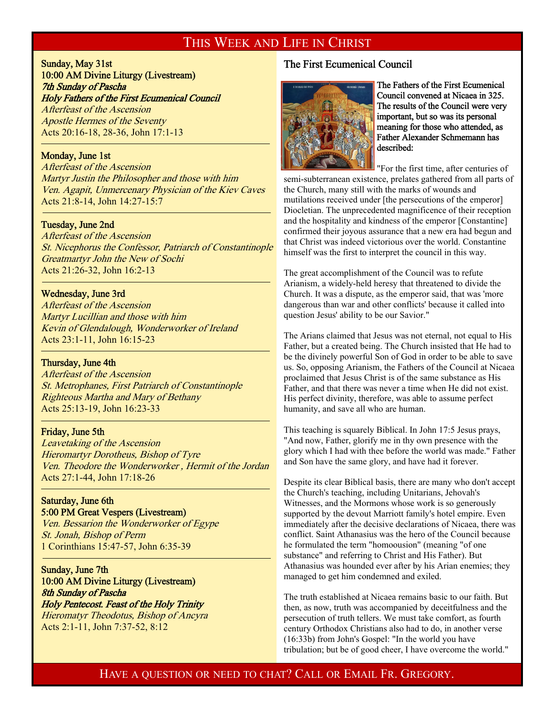## THIS WEEK AND LIFE IN CHRIST

Sunday, May 31st 10:00 AM Divine Liturgy (Livestream) 7th Sunday of Pascha

Holy Fathers of the First Ecumenical Council

Afterfeast of the Ascension Apostle Hermes of the Seventy Acts 20:16-18, 28-36, John 17:1-13

#### Monday, June 1st

-

Afterfeast of the Ascension Martyr Justin the Philosopher and those with him Ven. Agapit, Unmercenary Physician of the Kiev Caves Acts 21:8-14, John 14:27-15:7

#### Tuesday, June 2nd

Afterfeast of the Ascension St. Nicephorus the Confessor, Patriarch of Constantinople Greatmartyr John the New of Sochi Acts 21:26-32, John 16:2-13

#### Wednesday, June 3rd

Afterfeast of the Ascension Martyr Lucillian and those with him Kevin of Glendalough, Wonderworker of Ireland Acts 23:1-11, John 16:15-23

#### Thursday, June 4th

-

 $\overline{a}$ 

Afterfeast of the Ascension St. Metrophanes, First Patriarch of Constantinople Righteous Martha and Mary of Bethany Acts 25:13-19, John 16:23-33

#### Friday, June 5th

Leavetaking of the Ascension Hieromartyr Dorotheus, Bishop of Tyre Ven. Theodore the Wonderworker , Hermit of the Jordan Acts 27:1-44, John 17:18-26

#### Saturday, June 6th 5:00 PM Great Vespers (Livestream)

Ven. Bessarion the Wonderworker of Egype St. Jonah, Bishop of Perm 1 Corinthians 15:47-57, John 6:35-39

Sunday, June 7th 10:00 AM Divine Liturgy (Livestream) 8th Sunday of Pascha Holy Pentecost. Feast of the Holy Trinity

Hieromatyr Theodotus, Bishop of Ancyra Acts 2:1-11, John 7:37-52, 8:12

#### The First Ecumenical Council



The Fathers of the First Ecumenical Council convened at Nicaea in 325. The results of the Council were very important, but so was its personal meaning for those who attended, as Father Alexander Schmemann has described:

"For the first time, after centuries of semi-subterranean existence, prelates gathered from all parts of the Church, many still with the marks of wounds and mutilations received under [the persecutions of the emperor] Diocletian. The unprecedented magnificence of their reception and the hospitality and kindness of the emperor [Constantine] confirmed their joyous assurance that a new era had begun and that Christ was indeed victorious over the world. Constantine himself was the first to interpret the council in this way.

The great accomplishment of the Council was to refute Arianism, a widely-held heresy that threatened to divide the Church. It was a dispute, as the emperor said, that was 'more dangerous than war and other conflicts' because it called into question Jesus' ability to be our Savior."

The Arians claimed that Jesus was not eternal, not equal to His Father, but a created being. The Church insisted that He had to be the divinely powerful Son of God in order to be able to save us. So, opposing Arianism, the Fathers of the Council at Nicaea proclaimed that Jesus Christ is of the same substance as His Father, and that there was never a time when He did not exist. His perfect divinity, therefore, was able to assume perfect humanity, and save all who are human.

This teaching is squarely Biblical. In John 17:5 Jesus prays, "And now, Father, glorify me in thy own presence with the glory which I had with thee before the world was made." Father and Son have the same glory, and have had it forever.

Despite its clear Biblical basis, there are many who don't accept the Church's teaching, including Unitarians, Jehovah's Witnesses, and the Mormons whose work is so generously supported by the devout Marriott family's hotel empire. Even immediately after the decisive declarations of Nicaea, there was conflict. Saint Athanasius was the hero of the Council because he formulated the term "homoousion" (meaning "of one substance" and referring to Christ and His Father). But Athanasius was hounded ever after by his Arian enemies; they managed to get him condemned and exiled.

The truth established at Nicaea remains basic to our faith. But then, as now, truth was accompanied by deceitfulness and the persecution of truth tellers. We must take comfort, as fourth century Orthodox Christians also had to do, in another verse (16:33b) from John's Gospel: "In the world you have tribulation; but be of good cheer, I have overcome the world."

## HAVE A QUESTION OR NEED TO CHAT? CALL OR EMAIL FR. GREGORY.